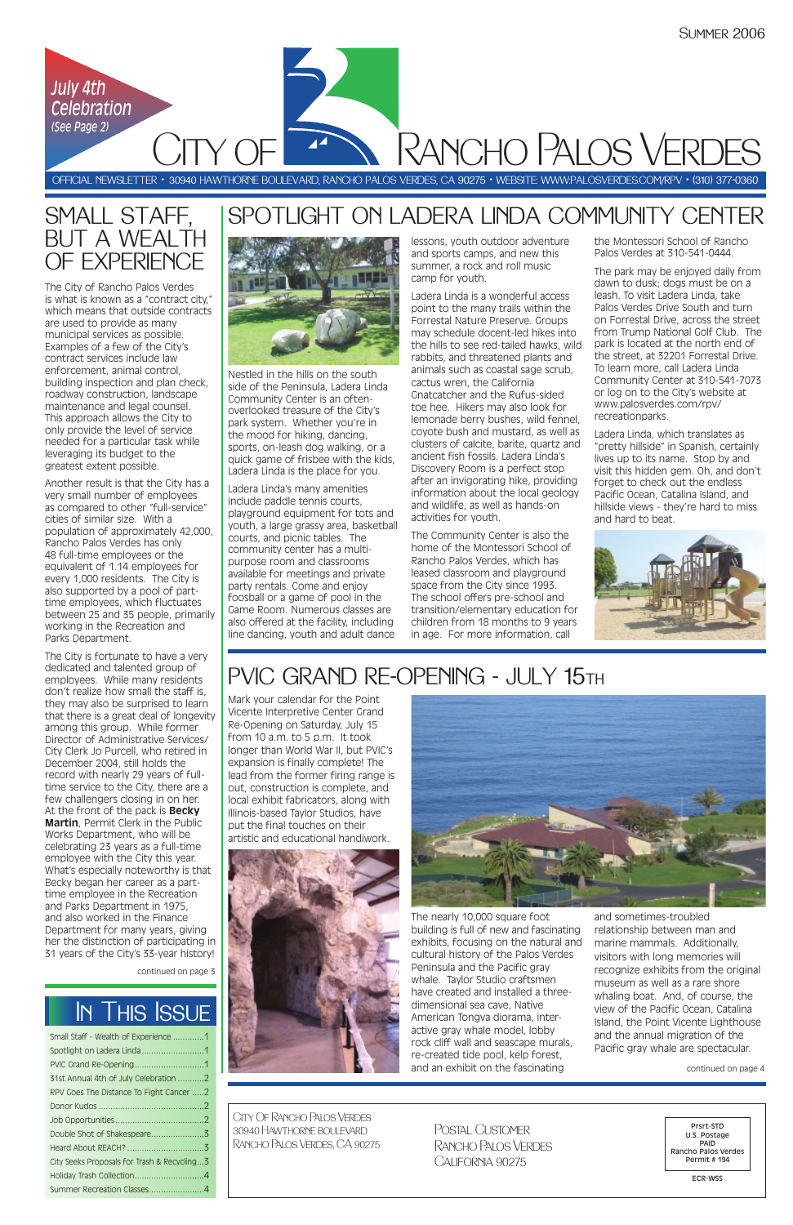| Small Staff - Wealth of Experience 1        |  |
|---------------------------------------------|--|
|                                             |  |
|                                             |  |
| 31st Annual 4th of July Celebration 2       |  |
| RPV Goes The Distance To Fight Cancer 2     |  |
|                                             |  |
|                                             |  |
|                                             |  |
|                                             |  |
| City Seeks Proposals for Trash & Recycling3 |  |
|                                             |  |
| Summer Recreation Classes4                  |  |

# SMALL STAFF, BUT A WEALTH OF EXPERIENCE

OFFICIAL NEWSLETTER • 30940 HAWTHORNE BOULEVARD, RANCHO PALOS VERDES, CA 90275 • WEBSITE: WWW:PALOSVERDES.COM/RPV • (310) 377-0360

City Of Rancho Palos Verdes 30940 Hawthorne boulevard Rancho Palos Verdes, CA 90275



Prsrt-STD U.S. Postage PAID Rancho Palos Verdes Permit # 194

ECR-WSS

Postal CustomerRancho Palos Verdes California 90275

# In This Issue

Rancho Palos Verdes

# SPOTLIGHT ON LADERA LINDA COMMUNITY CENTER



 $Y \bigcap$ 

continued on page 3

Nestled in the hills on the south side of the Peninsula, Ladera Linda Community Center is an oftenoverlooked treasure of the City's park system. Whether you're in the mood for hiking, dancing, sports, on-leash dog walking, or a quick game of frisbee with the kids, Ladera Linda is the place for you.

Ladera Linda's many amenities include paddle tennis courts, playground equipment for tots and youth, a large grassy area, basketball courts, and picnic tables. The community center has a multipurpose room and classrooms available for meetings and private party rentals. Come and enjoy foosball or a game of pool in the Game Room. Numerous classes are also offered at the facility, including line dancing, youth and adult dance

lessons, youth outdoor adventure and sports camps, and new this summer, a rock and roll music camp for youth.

Ladera Linda is a wonderful access point to the many trails within the Forrestal Nature Preserve. Groups may schedule docent-led hikes into the hills to see red-tailed hawks, wild rabbits, and threatened plants and animals such as coastal sage scrub, cactus wren, the California Gnatcatcher and the Rufus-sided toe hee. Hikers may also look for lemonade berry bushes, wild fennel, coyote bush and mustard, as well as clusters of calcite, barite, quartz and ancient fish fossils. Ladera Linda's Discovery Room is a perfect stop after an invigorating hike, providing information about the local geology and wildlife, as well as hands-on activities for youth.

The Community Center is also the home of the Montessori School of Rancho Palos Verdes, which has leased classroom and playground space from the City since 1993. The school offers pre-school and transition/elementary education for children from 18 months to 9 years in age. For more information, call

the Montessori School of Rancho Palos Verdes at 310-541-0444.

The park may be enjoyed daily from dawn to dusk; dogs must be on a leash. To visit Ladera Linda, take Palos Verdes Drive South and turn on Forrestal Drive, across the street from Trump National Golf Club. The park is located at the north end of the street, at 32201 Forrestal Drive. To learn more, call Ladera Linda Community Center at 310-541-7073 or log on to the City's website at www.palosverdes.com/rpv/ recreationparks.

Ladera Linda, which translates as "pretty hillside" in Spanish, certainly lives up to its name. Stop by and visit this hidden gem. Oh, and don't forget to check out the endless Pacific Ocean, Catalina Island, and hillside views - they're hard to miss and hard to beat.



# PVIC GRAND RE-OPENING - JULY 15TH

The City of Rancho Palos Verdes is what is known as a "contract city," which means that outside contracts are used to provide as many municipal services as possible. Examples of a few of the City's contract services include law enforcement, animal control, building inspection and plan check, roadway construction, landscape maintenance and legal counsel. This approach allows the City to only provide the level of service needed for a particular task while leveraging its budget to the greatest extent possible.

Another result is that the City has a very small number of employees as compared to other "full-service" cities of similar size. With a population of approximately 42,000, Rancho Palos Verdes has only 48 full-time employees or the equivalent of 1.14 employees for every 1,000 residents. The City is also supported by a pool of parttime employees, which fluctuates between 25 and 35 people, primarily working in the Recreation and Parks Department.

The City is fortunate to have a very dedicated and talented group of employees. While many residents don't realize how small the staff is, they may also be surprised to learn that there is a great deal of longevity among this group. While former Director of Administrative Services/ City Clerk Jo Purcell, who retired in December 2004, still holds the record with nearly 29 years of fulltime service to the City, there are a few challengers closing in on her. At the front of the pack is **Becky Martin**, Permit Clerk in the Public Works Department, who will be celebrating 23 years as a full-time employee with the City this year. What's especially noteworthy is that Becky began her career as a parttime employee in the Recreation

and Parks Department in 1975, and also worked in the Finance Department for many years, giving her the distinction of participating in 31 years of the City's 33-year history!

Mark your calendar for the Point Vicente Interpretive Center Grand Re-Opening on Saturday, July 15 from 10 a.m. to 5 p.m. It took longer than World War II, but PVIC's expansion is finally complete! The lead from the former firing range is out, construction is complete, and local exhibit fabricators, along with Illinois-based Taylor Studios, have put the final touches on their artistic and educational handiwork.



The nearly 10,000 square foot building is full of new and fascinating exhibits, focusing on the natural and cultural history of the Palos Verdes Peninsula and the Pacific gray whale. Taylor Studio craftsmen have created and installed a threedimensional sea cave, Native American Tongva diorama, interactive gray whale model, lobby rock cliff wall and seascape murals, re-created tide pool, kelp forest, and an exhibit on the fascinating

and sometimes-troubled relationship between man and marine mammals. Additionally, visitors with long memories will recognize exhibits from the original museum as well as a rare shore whaling boat. And, of course, the view of the Pacific Ocean, Catalina Island, the Point Vicente Lighthouse and the annual migration of the Pacific gray whale are spectacular.

continued on page 4

*July 4th* 

*Celebration*

*(See Page 2)*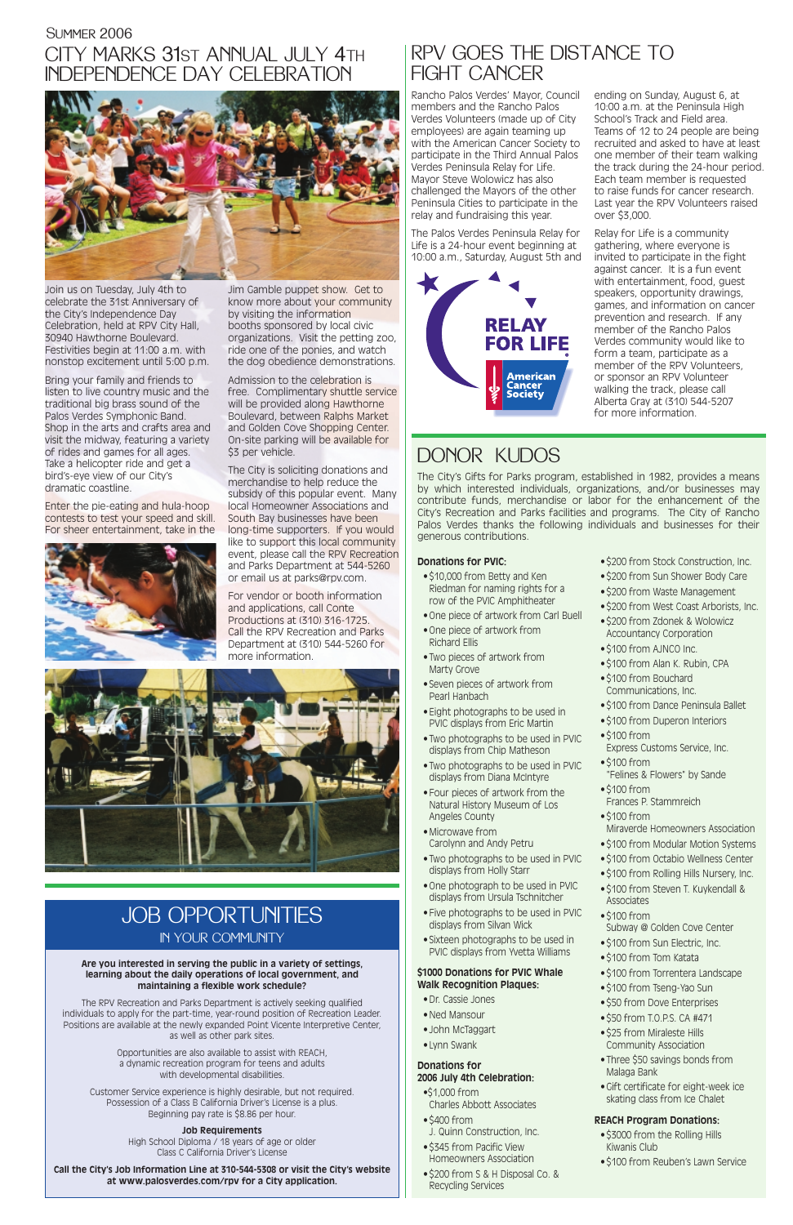Join us on Tuesday, July 4th to celebrate the 31st Anniversary of the City's Independence Day Celebration, held at RPV City Hall, 30940 Hawthorne Boulevard. Festivities begin at 11:00 a.m. with nonstop excitement until 5:00 p.m.

Bring your family and friends to listen to live country music and the traditional big brass sound of the Palos Verdes Symphonic Band. Shop in the arts and crafts area and visit the midway, featuring a variety of rides and games for all ages. Take a helicopter ride and get a bird's-eye view of our City's dramatic coastline.

Admission to the celebration is free. Complimentary shuttle service will be provided along Hawthorne Boulevard, between Ralphs Market and Golden Cove Shopping Center. On-site parking will be available for \$3 per vehicle.

Enter the pie-eating and hula-hoop contests to test your speed and skill. For sheer entertainment, take in the



Jim Gamble puppet show. Get to know more about your community by visiting the information booths sponsored by local civic organizations. Visit the petting zoo, ride one of the ponies, and watch the dog obedience demonstrations.

### CITY MARKS 31ST ANNUAL JULY 4TH INDEPENDENCE DAY CELEBRATIONSummer 2006



The City is soliciting donations and merchandise to help reduce the subsidy of this popular event. Many local Homeowner Associations and South Bay businesses have been long-time supporters. If you would like to support this local community event, please call the RPV Recreation and Parks Department at 544-5260 or email us at parks@rpv.com.

For vendor or booth information and applications, call Conte Productions at (310) 316-1725. Call the RPV Recreation and Parks Department at (310) 544-5260 for more information.



### **Donations for PVIC:**

- \$10,000 from Betty and Ken Riedman for naming rights for a row of the PVIC Amphitheater
- One piece of artwork from Carl Buell
- One piece of artwork from Richard Ellis
- Two pieces of artwork from Marty Grove
- Seven pieces of artwork from Pearl Hanbach
- Eight photographs to be used in PVIC displays from Eric Martin
- Two photographs to be used in PVIC displays from Chip Matheson
- Two photographs to be used in PVIC displays from Diana McIntyre
- Four pieces of artwork from the Natural History Museum of Los Angeles County
- Microwave from Carolynn and Andy Petru
- Two photographs to be used in PVIC displays from Holly Starr
- One photograph to be used in PVIC displays from Ursula Tschnitcher
- 
- Five photographs to be used in PVIC displays from Silvan Wick
- Sixteen photographs to be used in PVIC displays from Yvetta Williams

### **\$1000 Donations for PVIC Whale Walk Recognition Plaques:**

- Dr. Cassie Jones
- Ned Mansour
- John McTaggart
- Lynn Swank

### **Donations for 2006 July 4th Celebration:**

- •\$1,000 from Charles Abbott Associates
- \$400 from
- J. Quinn Construction, Inc.
- \$345 from Pacific View Homeowners Association
- \$200 from S & H Disposal Co. & Recycling Services
- \$200 from Stock Construction, Inc.
- \$200 from Sun Shower Body Care
- \$200 from Waste Management
- \$200 from West Coast Arborists, Inc.
- \$200 from Zdonek & Wolowicz Accountancy Corporation
- \$100 from AJNCO Inc.
- \$100 from Alan K. Rubin, CPA
- \$100 from Bouchard Communications, Inc.
- \$100 from Dance Peninsula Ballet
- \$100 from Duperon Interiors
- \$100 from Express Customs Service, Inc.
- \$100 from
- "Felines & Flowers" by Sande • \$100 from
- Frances P. Stammreich
- \$100 from
- Miraverde Homeowners Association
- \$100 from Modular Motion Systems
- \$100 from Octabio Wellness Center
- \$100 from Rolling Hills Nursery, Inc.
- \$100 from Steven T. Kuykendall &
- Associates
- \$100 from
	- Subway @ Golden Cove Center
- \$100 from Sun Electric, Inc.
- \$100 from Tom Katata
- \$100 from Torrentera Landscape
- \$100 from Tseng-Yao Sun
- \$50 from Dove Enterprises
- \$50 from T.O.P.S. CA #471
- \$25 from Miraleste Hills Community Association
- Three \$50 savings bonds from Malaga Bank
- Gift certificate for eight-week ice skating class from Ice Chalet

### **REACH Program Donations:**

- \$3000 from the Rolling Hills Kiwanis Club
- \$100 from Reuben's Lawn Service

# DONOR KUDOS

The City's Gifts for Parks program, established in 1982, provides a means by which interested individuals, organizations, and/or businesses may contribute funds, merchandise or labor for the enhancement of the City's Recreation and Parks facilities and programs. The City of Rancho Palos Verdes thanks the following individuals and businesses for their generous contributions.

Rancho Palos Verdes' Mayor, Council members and the Rancho Palos Verdes Volunteers (made up of City employees) are again teaming up with the American Cancer Society to participate in the Third Annual Palos Verdes Peninsula Relay for Life. Mayor Steve Wolowicz has also challenged the Mayors of the other Peninsula Cities to participate in the relay and fundraising this year.

The Palos Verdes Peninsula Relay for Life is a 24-hour event beginning at 10:00 a.m., Saturday, August 5th and



ending on Sunday, August 6, at 10:00 a.m. at the Peninsula High School's Track and Field area. Teams of 12 to 24 people are being recruited and asked to have at least one member of their team walking the track during the 24-hour period. Each team member is requested to raise funds for cancer research. Last year the RPV Volunteers raised over \$3,000.

Relay for Life is a community gathering, where everyone is invited to participate in the fight against cancer. It is a fun event with entertainment, food, guest speakers, opportunity drawings, games, and information on cancer prevention and research. If any member of the Rancho Palos Verdes community would like to form a team, participate as a member of the RPV Volunteers, or sponsor an RPV Volunteer walking the track, please call Alberta Gray at (310) 544-5207 for more information.

### RPV GOES THE DISTANCE TO FIGHT CANCER

## JOB OPPORTUNITIES IN YOUR COMMUNITY

#### **Are you interested in serving the public in a variety of settings, learning about the daily operations of local government, and maintaining a flexible work schedule?**

The RPV Recreation and Parks Department is actively seeking qualified individuals to apply for the part-time, year-round position of Recreation Leader. Positions are available at the newly expanded Point Vicente Interpretive Center, as well as other park sites.

> Opportunities are also available to assist with REACH, a dynamic recreation program for teens and adults with developmental disabilities.

Customer Service experience is highly desirable, but not required. Possession of a Class B California Driver's License is a plus. Beginning pay rate is \$8.86 per hour.

#### **Job Requirements**

High School Diploma / 18 years of age or older Class C California Driver's License

**Call the City's Job Information Line at 310-544-5308 or visit the City's website at www.palosverdes.com/rpv for a City application.**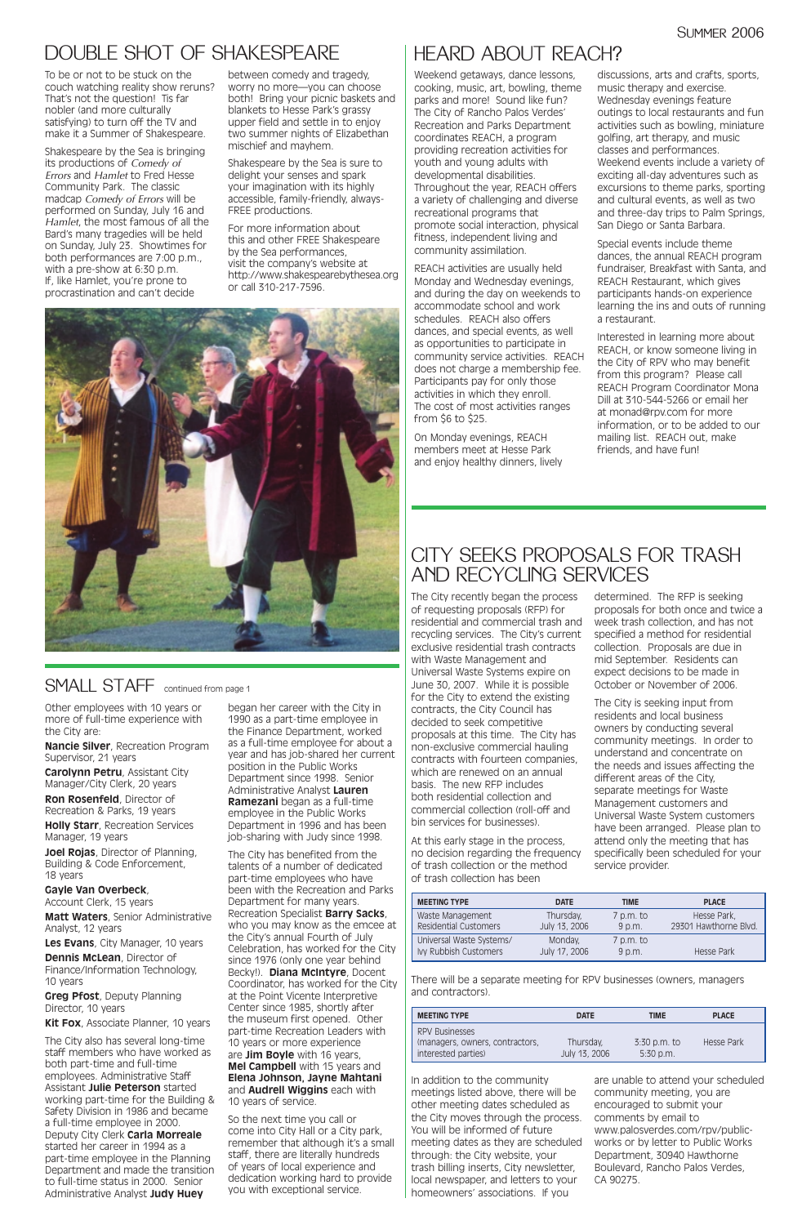# HEARD ABOUT REACH?

# CITY SEEKS PROPOSALS FOR TRASH AND RECYCLING SERVICES

Weekend getaways, dance lessons, cooking, music, art, bowling, theme parks and more! Sound like fun? The City of Rancho Palos Verdes' Recreation and Parks Department coordinates REACH, a program providing recreation activities for youth and young adults with developmental disabilities. Throughout the year, REACH offers a variety of challenging and diverse recreational programs that promote social interaction, physical fitness, independent living and community assimilation.

REACH activities are usually held Monday and Wednesday evenings, and during the day on weekends to accommodate school and work schedules. REACH also offers dances, and special events, as well as opportunities to participate in community service activities. REACH does not charge a membership fee. Participants pay for only those activities in which they enroll. The cost of most activities ranges from \$6 to \$25.

On Monday evenings, REACH members meet at Hesse Park and enjoy healthy dinners, lively

discussions, arts and crafts, sports, music therapy and exercise. Wednesday evenings feature outings to local restaurants and fun activities such as bowling, miniature golfing, art therapy, and music classes and performances. Weekend events include a variety of exciting all-day adventures such as excursions to theme parks, sporting and cultural events, as well as two and three-day trips to Palm Springs, San Diego or Santa Barbara.

Special events include theme dances, the annual REACH program fundraiser, Breakfast with Santa, and REACH Restaurant, which gives participants hands-on experience learning the ins and outs of running a restaurant.

Interested in learning more about REACH, or know someone living in the City of RPV who may benefit from this program? Please call REACH Program Coordinator Mona Dill at 310-544-5266 or email her at monad@rpv.com for more information, or to be added to our mailing list. REACH out, make friends, and have fun!

To be or not to be stuck on the couch watching reality show reruns? That's not the question! Tis far nobler (and more culturally satisfying) to turn off the TV and make it a Summer of Shakespeare.

Shakespeare by the Sea is bringing its productions of *Comedy of Errors* and *Hamlet* to Fred Hesse Community Park. The classic madcap *Comedy of Errors* will be performed on Sunday, July 16 and *Hamlet*, the most famous of all the Bard's many tragedies will be held on Sunday, July 23. Showtimes for both performances are 7:00 p.m., with a pre-show at 6:30 p.m. If, like Hamlet, you're prone to procrastination and can't decide

between comedy and tragedy, worry no more—you can choose both! Bring your picnic baskets and blankets to Hesse Park's grassy upper field and settle in to enjoy two summer nights of Elizabethan mischief and mayhem.

Shakespeare by the Sea is sure to delight your senses and spark your imagination with its highly accessible, family-friendly, always-FREE productions.

For more information about this and other FREE Shakespeare by the Sea performances, visit the company's website at http://www.shakespearebythesea.org or call 310-217-7596.



SMALL STAFF continued from page 1

# DOUBLE SHOT OF SHAKESPEARE

The City recently began the process of requesting proposals (RFP) for residential and commercial trash and recycling services. The City's current exclusive residential trash contracts with Waste Management and Universal Waste Systems expire on June 30, 2007. While it is possible for the City to extend the existing contracts, the City Council has decided to seek competitive proposals at this time. The City has non-exclusive commercial hauling contracts with fourteen companies, which are renewed on an annual basis. The new RFP includes both residential collection and commercial collection (roll-off and bin services for businesses).

At this early stage in the process, no decision regarding the frequency of trash collection or the method of trash collection has been

determined. The RFP is seeking proposals for both once and twice a week trash collection, and has not specified a method for residential collection. Proposals are due in mid September. Residents can expect decisions to be made in October or November of 2006.

The City is seeking input from residents and local business owners by conducting several community meetings. In order to understand and concentrate on the needs and issues affecting the different areas of the City, separate meetings for Waste Management customers and Universal Waste System customers have been arranged. Please plan to attend only the meeting that has specifically been scheduled for your service provider.

| <b>MEETING TYPE</b>      | <b>DATE</b>   | TIME        | <b>PLACE</b>          |
|--------------------------|---------------|-------------|-----------------------|
| Waste Management         | Thursday,     | $7$ p.m. to | Hesse Park,           |
| Residential Customers    | July 13, 2006 | $9$ p.m.    | 29301 Hawthorne Blvd. |
| Universal Waste Systems/ | Monday,       | $7$ p.m. to |                       |
| Ivy Rubbish Customers    | July 17, 2006 | 9 p.m.      | Hesse Park            |

There will be a separate meeting for RPV businesses (owners, managers and contractors).

| <b>MEETING TYPE</b>                                                             | <b>DATE</b>                | <b>TIME</b>                   | <b>PLACE</b> |
|---------------------------------------------------------------------------------|----------------------------|-------------------------------|--------------|
| <b>RPV Businesses</b><br>(managers, owners, contractors,<br>interested parties) | Thursday,<br>July 13, 2006 | $3:30$ p.m. to<br>$5:30$ p.m. | Hesse Park   |

In addition to the community meetings listed above, there will be other meeting dates scheduled as the City moves through the process. You will be informed of future meeting dates as they are scheduled through: the City website, your trash billing inserts, City newsletter, local newspaper, and letters to your homeowners' associations. If you

are unable to attend your scheduled community meeting, you are encouraged to submit your comments by email to www.palosverdes.com/rpv/publicworks or by letter to Public Works Department, 30940 Hawthorne Boulevard, Rancho Palos Verdes, CA 90275.

Other employees with 10 years or more of full-time experience with the City are:

**Nancie Silver**, Recreation Program Supervisor, 21 years

**Carolynn Petru**, Assistant City Manager/City Clerk, 20 years

**Ron Rosenfeld**, Director of Recreation & Parks, 19 years

**Holly Starr**, Recreation Services Manager, 19 years

**Joel Rojas**, Director of Planning, Building & Code Enforcement, 18 years

**Gayle Van Overbeck**,

Account Clerk, 15 years

**Matt Waters**, Senior Administrative Analyst, 12 years

**Les Evans**, City Manager, 10 years

**Dennis McLean**, Director of Finance/Information Technology, 10 years

**Greg Pfost**, Deputy Planning Director, 10 years

**Kit Fox**, Associate Planner, 10 years

The City also has several long-time staff members who have worked as both part-time and full-time employees. Administrative Staff Assistant **Julie Peterson** started working part-time for the Building & Safety Division in 1986 and became a full-time employee in 2000. Deputy City Clerk **Carla Morreale** started her career in 1994 as a part-time employee in the Planning Department and made the transition to full-time status in 2000. Senior Administrative Analyst **Judy Huey**

began her career with the City in 1990 as a part-time employee in the Finance Department, worked as a full-time employee for about a year and has job-shared her current position in the Public Works Department since 1998. Senior Administrative Analyst **Lauren Ramezani** began as a full-time employee in the Public Works Department in 1996 and has been job-sharing with Judy since 1998.

The City has benefited from the talents of a number of dedicated part-time employees who have been with the Recreation and Parks Department for many years. Recreation Specialist **Barry Sacks**, who you may know as the emcee at the City's annual Fourth of July Celebration, has worked for the City since 1976 (only one year behind Becky!). **Diana McIntyre**, Docent Coordinator, has worked for the City at the Point Vicente Interpretive Center since 1985, shortly after the museum first opened. Other part-time Recreation Leaders with 10 years or more experience are **Jim Boyle** with 16 years, **Mel Campbell** with 15 years and **Elena Johnson, Jayne Mahtani** and **Audrell Wiggins** each with 10 years of service.

So the next time you call or come into City Hall or a City park, remember that although it's a small staff, there are literally hundreds of years of local experience and dedication working hard to provide you with exceptional service.